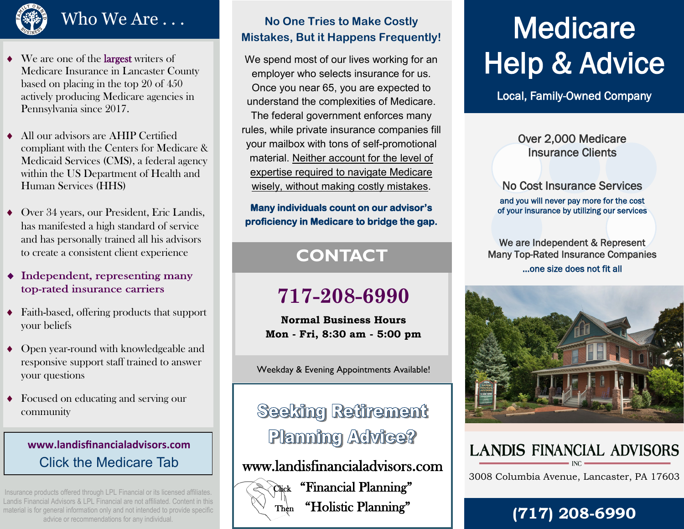## $\overline{\text{Who We Are}\dots}$

- We are one of the largest writers of Medicare Insurance in Lancaster County based on placing in the top 20 of 450 actively producing Medicare agencies in Pennsylvania since 2017.
- All our advisors are AHIP Certified compliant with the Centers for Medicare & Medicaid Services (CMS), a federal agency within the US Department of Health and Human Services (HHS)
- Over 34 years, our President, Eric Landis, has manifested a high standard of service and has personally trained all his advisors to create a consistent client experience
- $\bullet$  Independent, representing many top-rated insurance carriers
- Faith-based, offering products that support your beliefs
- Open year-round with knowledgeable and responsive support staff trained to answer your questions
- Focused on educating and serving our community

## **www.landisfinancialadvisors.com** Click the Medicare Tab

Insurance products offered through LPL Financial or its licensed affiliates. Landis Financial Advisors & LPL Financial are not affiliated. Content in this material is for general information only and not intended to provide specific advice or recommendations for any individual.

#### **No One Tries to Make Costly Mistakes, But it Happens Frequently!**

We spend most of our lives working for an employer who selects insurance for us. Once you near 65, you are expected to understand the complexities of Medicare.

The federal government enforces many rules, while private insurance companies fill your mailbox with tons of self-promotional material. Neither account for the level of expertise required to navigate Medicare wisely, without making costly mistakes.

#### **Many individuals count on our advisor's proficiency in Medicare to bridge the gap.**

## **CONTACT**

## **717-208-6990**

**Normal Business Hours Mon - Fri, 8:30 am - 5:00 pm**

Weekday & Evening Appointments Available!

**Seeking Retirement Planning Advice?** 

www.landisfinancialadvisors.com



Click "Financial Planning" Then "Holistic Planning"

# **Medicare** Help & Advice

Local, Family-Owned Company

#### Over 2,000 Medicare Insurance Clients

No Cost Insurance Services and you will never pay more for the cost of your insurance by utilizing our services

We are Independent & Represent Many Top-Rated Insurance Companies ...one size does not fit all



## **LANDIS FINANCIAL ADVISORS**

3008 Columbia Avenue, Lancaster, PA 17603

## **(717) 208 -6990**